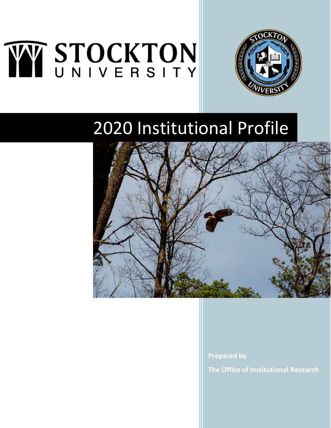# W STOCKTON



# 2020 Institutional Profile



**Prepared by The Office of Institutional Research**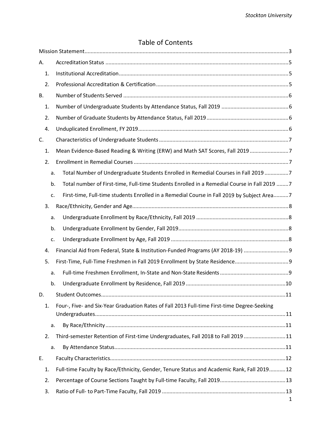# Table of Contents

| А.        |                                                                                                   |  |
|-----------|---------------------------------------------------------------------------------------------------|--|
| 1.        |                                                                                                   |  |
| 2.        |                                                                                                   |  |
| <b>B.</b> |                                                                                                   |  |
| 1.        |                                                                                                   |  |
| 2.        |                                                                                                   |  |
| 4.        |                                                                                                   |  |
| C.        |                                                                                                   |  |
| 1.        | Mean Evidence-Based Reading & Writing (ERW) and Math SAT Scores, Fall 2019 7                      |  |
| 2.        |                                                                                                   |  |
|           | Total Number of Undergraduate Students Enrolled in Remedial Courses in Fall 2019 7<br>a.          |  |
|           | Total number of First-time, Full-time Students Enrolled in a Remedial Course in Fall 2019 7<br>b. |  |
|           | First-time, Full-time students Enrolled in a Remedial Course in Fall 2019 by Subject Area7<br>c.  |  |
| 3.        |                                                                                                   |  |
|           | a.                                                                                                |  |
|           | b.                                                                                                |  |
|           | c.                                                                                                |  |
| 4.        | Financial Aid from Federal, State & Institution-Funded Programs (AY 2018-19)  9                   |  |
| 5.        |                                                                                                   |  |
|           | a.                                                                                                |  |
|           | b.                                                                                                |  |
| D.        |                                                                                                   |  |
| 1.        | Four-, Five- and Six-Year Graduation Rates of Fall 2013 Full-time First-time Degree-Seeking       |  |
|           | a.                                                                                                |  |
| 2.        | Third-semester Retention of First-time Undergraduates, Fall 2018 to Fall 2019 11                  |  |
|           | a.                                                                                                |  |
| E.        |                                                                                                   |  |
| 1.        | Full-time Faculty by Race/Ethnicity, Gender, Tenure Status and Academic Rank, Fall 201912         |  |
| 2.        |                                                                                                   |  |
| 3.        |                                                                                                   |  |
|           |                                                                                                   |  |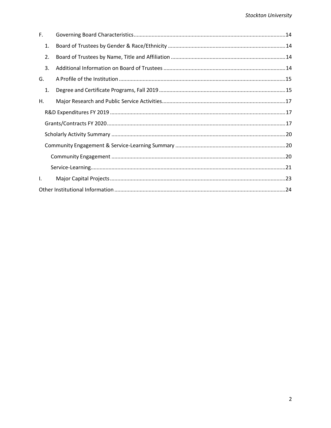| F. |    |  |
|----|----|--|
| 1. |    |  |
| 2. |    |  |
| 3. |    |  |
| G. |    |  |
|    | 1. |  |
| Η. |    |  |
|    |    |  |
|    |    |  |
|    |    |  |
|    |    |  |
|    |    |  |
|    |    |  |
| Ι. |    |  |
|    |    |  |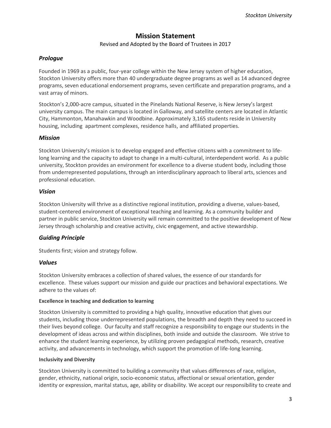# **Mission Statement**

#### Revised and Adopted by the Board of Trustees in 2017

#### <span id="page-3-0"></span>*Prologue*

Founded in 1969 as a public, four-year college within the New Jersey system of higher education, Stockton University offers more than 40 undergraduate degree programs as well as 14 advanced degree programs, seven educational endorsement programs, seven certificate and preparation programs, and a vast array of minors.

Stockton's 2,000-acre campus, situated in the Pinelands National Reserve, is New Jersey's largest university campus. The main campus is located in Galloway, and satellite centers are located in Atlantic City, Hammonton, Manahawkin and Woodbine. Approximately 3,165 students reside in University housing, including apartment complexes, residence halls, and affiliated properties.

#### *Mission*

Stockton University's mission is to develop engaged and effective citizens with a commitment to lifelong learning and the capacity to adapt to change in a multi-cultural, interdependent world. As a public university, Stockton provides an environment for excellence to a diverse student body, including those from underrepresented populations, through an interdisciplinary approach to liberal arts, sciences and professional education.

#### *Vision*

Stockton University will thrive as a distinctive regional institution, providing a diverse, values-based, student-centered environment of exceptional teaching and learning. As a community builder and partner in public service, Stockton University will remain committed to the positive development of New Jersey through scholarship and creative activity, civic engagement, and active stewardship.

#### *Guiding Principle*

Students first; vision and strategy follow.

#### *Values*

Stockton University embraces a collection of shared values, the essence of our standards for excellence. These values support our mission and guide our practices and behavioral expectations. We adhere to the values of:

#### **Excellence in teaching and dedication to learning**

Stockton University is committed to providing a high quality, innovative education that gives our students, including those underrepresented populations, the breadth and depth they need to succeed in their lives beyond college. Our faculty and staff recognize a responsibility to engage our students in the development of ideas across and within disciplines, both inside and outside the classroom. We strive to enhance the student learning experience, by utilizing proven pedagogical methods, research, creative activity, and advancements in technology, which support the promotion of life-long learning.

#### **Inclusivity and Diversity**

Stockton University is committed to building a community that values differences of race, religion, gender, ethnicity, national origin, socio-economic status, affectional or sexual orientation, gender identity or expression, marital status, age, ability or disability. We accept our responsibility to create and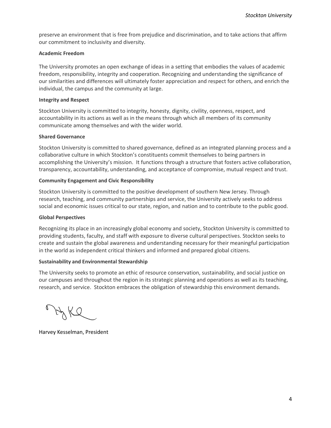preserve an environment that is free from prejudice and discrimination, and to take actions that affirm our commitment to inclusivity and diversity.

#### **Academic Freedom**

The University promotes an open exchange of ideas in a setting that embodies the values of academic freedom, responsibility, integrity and cooperation. Recognizing and understanding the significance of our similarities and differences will ultimately foster appreciation and respect for others, and enrich the individual, the campus and the community at large.

#### **Integrity and Respect**

Stockton University is committed to integrity, honesty, dignity, civility, openness, respect, and accountability in its actions as well as in the means through which all members of its community communicate among themselves and with the wider world.

#### **Shared Governance**

Stockton University is committed to shared governance, defined as an integrated planning process and a collaborative culture in which Stockton's constituents commit themselves to being partners in accomplishing the University's mission. It functions through a structure that fosters active collaboration, transparency, accountability, understanding, and acceptance of compromise, mutual respect and trust.

#### **Community Engagement and Civic Responsibility**

Stockton University is committed to the positive development of southern New Jersey. Through research, teaching, and community partnerships and service, the University actively seeks to address social and economic issues critical to our state, region, and nation and to contribute to the public good.

#### **Global Perspectives**

Recognizing its place in an increasingly global economy and society, Stockton University is committed to providing students, faculty, and staff with exposure to diverse cultural perspectives. Stockton seeks to create and sustain the global awareness and understanding necessary for their meaningful participation in the world as independent critical thinkers and informed and prepared global citizens.

#### **Sustainability and Environmental Stewardship**

The University seeks to promote an ethic of resource conservation, sustainability, and social justice on our campuses and throughout the region in its strategic planning and operations as well as its teaching, research, and service. Stockton embraces the obligation of stewardship this environment demands.

AS KU

Harvey Kesselman, President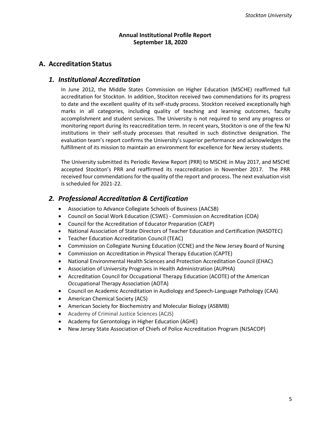#### **Annual Institutional Profile Report September 18, 2020**

#### <span id="page-5-1"></span><span id="page-5-0"></span>**A. Accreditation Status**

#### *1. Institutional Accreditation*

In June 2012, the Middle States Commission on Higher Education (MSCHE) reaffirmed full accreditation for Stockton. In addition, Stockton received two commendations for its progress to date and the excellent quality of its self-study process. Stockton received exceptionally high marks in all categories, including quality of teaching and learning outcomes, faculty accomplishment and student services. The University is not required to send any progress or monitoring report during its reaccreditation term. In recent years, Stockton is one of the few NJ institutions in their self-study processes that resulted in such distinctive designation. The evaluation team's report confirms the University's superior performance and acknowledges the fulfillment of its mission to maintain an environment for excellence for New Jersey students.

The University submitted its Periodic Review Report (PRR) to MSCHE in May 2017, and MSCHE accepted Stockton's PRR and reaffirmed its reaccreditation in November 2017. The PRR received four commendations for the quality of the report and process. The next evaluation visit is scheduled for 2021-22.

# <span id="page-5-2"></span>*2. Professional Accreditation & Certification*

- Association to Advance Collegiate Schools of Business (AACSB)
- Council on Social Work Education (CSWE) Commission on Accreditation (COA)
- Council for the Accreditation of Educator Preparation (CAEP)
- National Association of State Directors of Teacher Education and Certification (NASDTEC)
- Teacher Education Accreditation Council (TEAC)
- Commission on Collegiate Nursing Education (CCNE) and the New Jersey Board of Nursing
- Commission on Accreditation in Physical Therapy Education (CAPTE)
- National Environmental Health Sciences and Protection Accreditation Council (EHAC)
- Association of University Programs in Health Administration (AUPHA)
- Accreditation Council for Occupational Therapy Education (ACOTE) of the American Occupational Therapy Association (AOTA)
- Council on Academic Accreditation in Audiology and Speech-Language Pathology (CAA)
- American Chemical Society (ACS)
- American Society for Biochemistry and Molecular Biology (ASBMB)
- Academy of Criminal Justice Sciences (ACJS)
- Academy for Gerontology in Higher Education (AGHE)
- New Jersey State Association of Chiefs of Police Accreditation Program (NJSACOP)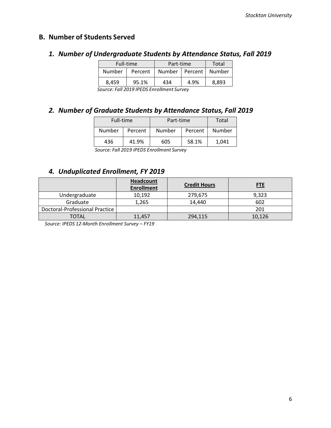# <span id="page-6-1"></span><span id="page-6-0"></span>**B. Number of Students Served**

# *1. Number of Undergraduate Students by Attendance Status, Fall 2019*

|        | Full-time                                          | Part-time        |        | Total |
|--------|----------------------------------------------------|------------------|--------|-------|
| Number | Percent                                            | Number   Percent | Number |       |
| 8,459  | 95.1%                                              | 434              | 4.9%   | 8,893 |
|        | $\sim$ " $\sim$ $\sim$ $\sim$ $\sim$ $\sim$ $\sim$ |                  |        |       |

*Source: Fall 2019 IPEDS Enrollment Survey*

# <span id="page-6-2"></span>*2. Number of Graduate Students by Attendance Status, Fall 2019*

| Full-time |         | Part-time |         | Total  |
|-----------|---------|-----------|---------|--------|
| Number    | Percent | Number    | Percent | Number |
| 436       | 41.9%   | 605       | 58.1%   | 1.041  |

*Source: Fall 2019 IPEDS Enrollment Survey*

# <span id="page-6-3"></span>*4. Unduplicated Enrollment, FY 2019*

|                                | <b>Headcount</b><br><b>Enrollment</b> | <b>Credit Hours</b> | <b>FTE</b> |
|--------------------------------|---------------------------------------|---------------------|------------|
| Undergraduate                  | 10,192                                | 279,675             | 9,323      |
| Graduate                       | 1,265                                 | 14.440              | 602        |
| Doctoral-Professional Practice |                                       |                     | 201        |
| TOTAL                          | 11,457                                | 294,115             | 10,126     |

*Source: IPEDS 12-Month Enrollment Survey* – *FY19*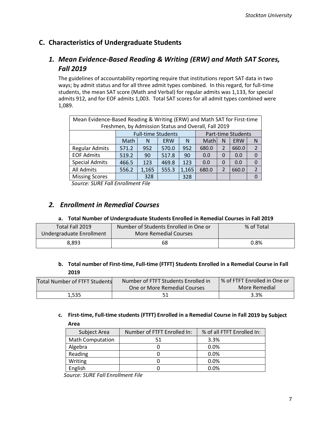# <span id="page-7-1"></span><span id="page-7-0"></span>**C. Characteristics of Undergraduate Students**

# *1. Mean Evidence-Based Reading & Writing (ERW) and Math SAT Scores, Fall 2019*

The guidelines of accountability reporting require that institutions report SAT data in two ways; by admit status and for all three admit types combined. In this regard, for full-time students, the mean SAT score (Math and Verbal) for regular admits was 1,133, for special admits 912, and for EOF admits 1,003. Total SAT scores for all admit types combined were 1,089.

| Mean Evidence-Based Reading & Writing (ERW) and Math SAT for First-time<br>Freshmen, by Admission Status and Overall, Fall 2019 |                                                 |                                                 |       |     |       |   |       |  |  |  |  |  |  |
|---------------------------------------------------------------------------------------------------------------------------------|-------------------------------------------------|-------------------------------------------------|-------|-----|-------|---|-------|--|--|--|--|--|--|
|                                                                                                                                 | <b>Full-time Students</b><br>Part-time Students |                                                 |       |     |       |   |       |  |  |  |  |  |  |
|                                                                                                                                 | Math                                            | Math<br><b>ERW</b><br><b>ERW</b><br>N<br>N<br>N |       |     |       |   |       |  |  |  |  |  |  |
| <b>Regular Admits</b>                                                                                                           | 571.2                                           | 952                                             | 570.0 | 952 | 680.0 | 2 | 660.0 |  |  |  |  |  |  |
| <b>EOF Admits</b>                                                                                                               | 519.2                                           | 90                                              | 517.8 | 90  | 0.0   | 0 | 0.0   |  |  |  |  |  |  |
| <b>Special Admits</b>                                                                                                           | 466.5                                           | 123                                             | 469.8 | 123 | 0.0   | 0 | 0.0   |  |  |  |  |  |  |
| <b>All Admits</b>                                                                                                               | 556.2                                           | 680.0<br>660.0<br>2<br>555.3<br>1,165<br>1,165  |       |     |       |   |       |  |  |  |  |  |  |
| <b>Missing Scores</b>                                                                                                           | 328<br>328                                      |                                                 |       |     |       |   |       |  |  |  |  |  |  |

*Source: SURE Fall Enrollment File*

#### <span id="page-7-2"></span>*2. Enrollment in Remedial Courses*

#### **a. Total Number of Undergraduate Students Enrolled in Remedial Courses in Fall 2019**

<span id="page-7-3"></span>

| Total Fall 2019<br>Undergraduate Enrollment | Number of Students Enrolled in One or<br>More Remedial Courses | % of Total |
|---------------------------------------------|----------------------------------------------------------------|------------|
| 8.893                                       | 68                                                             | $0.8\%$    |

#### <span id="page-7-4"></span>**b. Total number of First-time, Full-time (FTFT) Students Enrolled in a Remedial Course in Fall 2019**

| Total Number of FTFT Students | Number of FTFT Students Enrolled in | % of FTFT Enrolled in One or |
|-------------------------------|-------------------------------------|------------------------------|
|                               | One or More Remedial Courses        | More Remedial                |
| 1.535                         |                                     | 3.3%                         |

#### <span id="page-7-5"></span>**c. First-time, Full-time students (FTFT) Enrolled in a Remedial Course in Fall 2019 by Subject Area**

| Subject Area            | Number of FTFT Enrolled In: | % of all FTFT Enrolled In: |
|-------------------------|-----------------------------|----------------------------|
| <b>Math Computation</b> |                             | 3.3%                       |
| Algebra                 |                             | 0.0%                       |
| Reading                 |                             | 0.0%                       |
| Writing                 |                             | 0.0%                       |
| English                 |                             | 0.0%                       |

*Source: SURE Fall Enrollment File*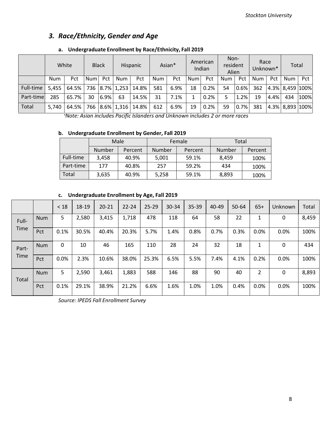# <span id="page-8-1"></span><span id="page-8-0"></span>*3. Race/Ethnicity, Gender and Age*

|                     |       | White |       | <b>Black</b> |                | Hispanic |     | Asian* |       | American<br>Indian | Non-<br>resident<br>Alien |            | Race<br>Unknown* |       | Total                 |      |
|---------------------|-------|-------|-------|--------------|----------------|----------|-----|--------|-------|--------------------|---------------------------|------------|------------------|-------|-----------------------|------|
|                     | Num   | Pct   | Num l | Pct          | Num            | Pct      | Num | Pct    | Num l | <b>Pct</b>         | <b>Num</b>                | <b>Pct</b> | Num              | Pct   | Num                   | Pct  |
| Full-time $ $ 5,455 |       | 64.5% |       |              | 736 8.7% 1,253 | 14.8%    | 581 | 6.9%   | 18    | 0.2%               | 54                        | 0.6%       | 362              |       | $ 4.3\% 8.459 100\% $ |      |
| Part-time           | 285   | 65.7% | 30    | 6.9%         | 63             | 14.5%    | 31  | 7.1%   | 1     | 0.2%               | 5.                        | 1.2%       | 19               | 14.4% | 434                   | 100% |
| Total               | 5,740 | 64.5% | 766   |              | $8.6\%$ 1,316  | 14.8%    | 612 | 6.9%   | 19    | 0.2%               | 59                        | 0.7%       | 381              |       | $ 4.3\% 8.893 100\% $ |      |

## **a. Undergraduate Enrollment by Race/Ethnicity, Fall 2019**

*\*Note: Asian includes Pacific Islanders and Unknown includes 2 or more races*

#### <span id="page-8-2"></span>**b. Undergraduate Enrollment by Gender, Fall 2019**

|           |                | Male    |        | Female  | Total         |         |  |
|-----------|----------------|---------|--------|---------|---------------|---------|--|
|           | <b>Number</b>  | Percent | Number | Percent | <b>Number</b> | Percent |  |
| Full-time | 40.9%<br>3.458 |         | 5,001  | 59.1%   | 8.459         | 100%    |  |
| Part-time | 40.8%<br>177   |         | 257    | 59.2%   | 434           | 100%    |  |
| Total     | 3,635          | 40.9%   | 5,258  | 59.1%   | 8,893         | 100%    |  |

#### <span id="page-8-3"></span>**c. Undergraduate Enrollment by Age, Fall 2019**

|               |            | < 18 | 18-19 | $20 - 21$ | $22 - 24$ | $25 - 29$ | 30-34 | $35 - 39$ | $40 - 49$ | 50-64 | $65+$ | <b>Unknown</b> | Total |
|---------------|------------|------|-------|-----------|-----------|-----------|-------|-----------|-----------|-------|-------|----------------|-------|
| Full-<br>Time | <b>Num</b> | 5    | 2,580 | 3,415     | 1,718     | 478       | 118   | 64        | 58        | 22    | 1     | 0              | 8,459 |
|               | Pct        | 0.1% | 30.5% | 40.4%     | 20.3%     | 5.7%      | 1.4%  | 0.8%      | 0.7%      | 0.3%  | 0.0%  | 0.0%           | 100%  |
| Part-<br>Time | <b>Num</b> | 0    | 10    | 46        | 165       | 110       | 28    | 24        | 32        | 18    | 1     | 0              | 434   |
|               | Pct        | 0.0% | 2.3%  | 10.6%     | 38.0%     | 25.3%     | 6.5%  | 5.5%      | 7.4%      | 4.1%  | 0.2%  | 0.0%           | 100%  |
| Total         | <b>Num</b> | 5    | 2,590 | 3,461     | 1,883     | 588       | 146   | 88        | 90        | 40    | 2     | 0              | 8,893 |
|               | Pct        | 0.1% | 29.1% | 38.9%     | 21.2%     | 6.6%      | 1.6%  | 1.0%      | 1.0%      | 0.4%  | 0.0%  | 0.0%           | 100%  |

*Source: IPEDS Fall Enrollment Survey*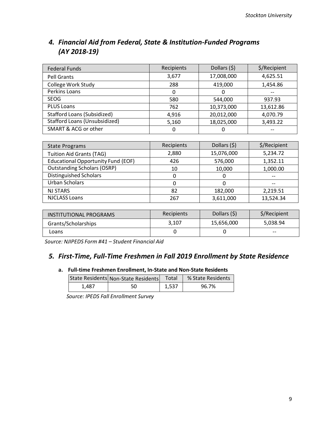| <b>Federal Funds</b>                      | Recipients | Dollars (\$) | \$/Recipient |
|-------------------------------------------|------------|--------------|--------------|
| <b>Pell Grants</b>                        | 3,677      | 17,008,000   | 4,625.51     |
| College Work Study                        | 288        | 419,000      | 1,454.86     |
| Perkins Loans                             | 0          | 0            |              |
| <b>SEOG</b>                               | 580        | 544,000      | 937.93       |
| <b>PLUS Loans</b>                         | 762        | 10,373,000   | 13,612.86    |
| <b>Stafford Loans (Subsidized)</b>        | 4,916      | 20,012,000   | 4,070.79     |
| Stafford Loans (Unsubsidized)             | 5,160      | 18,025,000   | 3,493.22     |
| SMART & ACG or other                      | 0          | 0            |              |
|                                           |            |              |              |
| <b>State Programs</b>                     | Recipients | Dollars (\$) | \$/Recipient |
| <b>Tuition Aid Grants (TAG)</b>           | 2,880      | 15,076,000   | 5,234.72     |
| <b>Educational Opportunity Fund (EOF)</b> | 426        | 576,000      | 1,352.11     |
| <b>Outstanding Scholars (OSRP)</b>        | 10         | 10,000       | 1,000.00     |
| <b>Distinguished Scholars</b>             | 0          | 0            |              |
| <b>Urban Scholars</b>                     | 0          | 0            |              |
| <b>NJ STARS</b>                           | 82         | 182,000      | 2,219.51     |
| <b>NJCLASS Loans</b>                      | 267        | 3,611,000    | 13,524.34    |
|                                           |            |              |              |

# <span id="page-9-0"></span>*4. Financial Aid from Federal, State & Institution-Funded Programs (AY 2018-19)*

| INSTITUTIONAL PROGRAMS | Recipients | Dollars (\$) | \$/Recipient |
|------------------------|------------|--------------|--------------|
| Grants/Scholarships    | 3,107      | 15,656,000   | 5,038.94     |
| Loans                  |            |              | $- -$        |

<span id="page-9-1"></span>*Source: NJIPEDS Form #41 – Student Financial Aid*

# <span id="page-9-2"></span>*5. First-Time, Full-Time Freshmen in Fall 2019 Enrollment by State Residence*

**a. Full-time Freshmen Enrollment, In-State and Non-State Residents**

|       | State Residents Non-State Residents | Total | % State Residents |
|-------|-------------------------------------|-------|-------------------|
| 1.487 | 50                                  | 1.537 | 96.7%             |

 *Source: IPEDS Fall Enrollment Survey*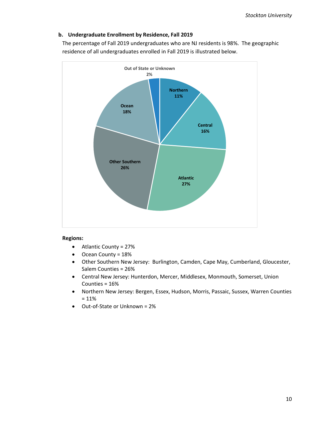#### <span id="page-10-0"></span>**b. Undergraduate Enrollment by Residence, Fall 2019**

The percentage of Fall 2019 undergraduates who are NJ residents is 98%. The geographic residence of all undergraduates enrolled in Fall 2019 is illustrated below.



#### **Regions:**

- Atlantic County = 27%
- Ocean County = 18%
- Other Southern New Jersey: Burlington, Camden, Cape May, Cumberland, Gloucester, Salem Counties = 26%
- Central New Jersey: Hunterdon, Mercer, Middlesex, Monmouth, Somerset, Union Counties = 16%
- Northern New Jersey: Bergen, Essex, Hudson, Morris, Passaic, Sussex, Warren Counties  $= 11%$
- Out-of-State or Unknown = 2%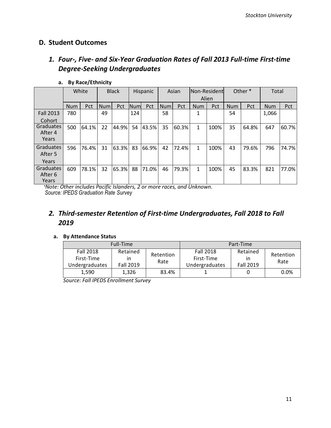# <span id="page-11-1"></span><span id="page-11-0"></span>**D. Student Outcomes**

# *1. Four-, Five- and Six-Year Graduation Rates of Fall 2013 Full-time First-time Degree-Seeking Undergraduates*

<span id="page-11-2"></span>

|                               | White      |       | <b>Black</b><br>Hispanic |       | Asian       |       | Non-Resident |       | Other*     |       | Total      |       |            |       |
|-------------------------------|------------|-------|--------------------------|-------|-------------|-------|--------------|-------|------------|-------|------------|-------|------------|-------|
|                               |            |       |                          |       |             |       |              |       |            | Alien |            |       |            |       |
|                               | <b>Num</b> | Pct   | <b>Num</b>               | Pct   | <b>Numl</b> | Pct   | <b>Num</b>   | Pct   | <b>Num</b> | Pct   | <b>Num</b> | Pct   | <b>Num</b> | Pct   |
| <b>Fall 2013</b>              | 780        |       | 49                       |       | 124         |       | 58           |       |            |       | 54         |       | 1,066      |       |
| Cohort                        |            |       |                          |       |             |       |              |       |            |       |            |       |            |       |
| Graduates<br>After 4<br>Years | 500        | 64.1% | 22                       | 44.9% | 54          | 43.5% | 35           | 60.3% | 1          | 100%  | 35         | 64.8% | 647        | 60.7% |
| Graduates<br>After 5<br>Years | 596        | 76.4% | 31                       | 63.3% | 83          | 66.9% | 42           | 72.4% | 1          | 100%  | 43         | 79.6% | 796        | 74.7% |
| Graduates<br>After 6<br>Years | 609        | 78.1% | 32                       | 65.3% | 88          | 71.0% | 46           | 79.3% | 1          | 100%  | 45         | 83.3% | 821        | 77.0% |

#### **a. By Race/Ethnicity**

*\*Note: Other includes Pacific Islanders, 2 or more races, and Unknown. Source: IPEDS Graduation Rate Survey*

# <span id="page-11-3"></span>*2. Third-semester Retention of First-time Undergraduates, Fall 2018 to Fall 2019*

#### <span id="page-11-4"></span>**a. By Attendance Status**

|                  | Full-Time |           | Part-Time        |           |           |  |  |
|------------------|-----------|-----------|------------------|-----------|-----------|--|--|
| <b>Fall 2018</b> | Retained  | Retention | <b>Fall 2018</b> | Retained  | Retention |  |  |
| First-Time       | ın        | Rate      | First-Time       | ın        | Rate      |  |  |
| Undergraduates   | Fall 2019 |           | Undergraduates   | Fall 2019 |           |  |  |
| 1,590            | 1.326     | 83.4%     |                  |           | 0.0%      |  |  |

*Source: Fall IPEDS Enrollment Survey*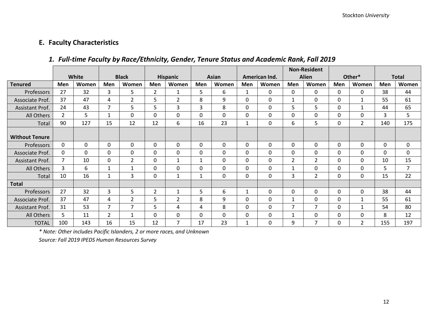# **E. Faculty Characteristics**

# *1. Full-time Faculty by Race/Ethnicity, Gender, Tenure Status and Academic Rank, Fall 2019*

<span id="page-12-0"></span>

|                       |                |       |                |                |                |                 |     |              |              |               |                | <b>Non-Resident</b> |              |                |     |              |
|-----------------------|----------------|-------|----------------|----------------|----------------|-----------------|-----|--------------|--------------|---------------|----------------|---------------------|--------------|----------------|-----|--------------|
|                       |                | White |                | <b>Black</b>   |                | <b>Hispanic</b> |     | Asian        |              | American Ind. |                | <b>Alien</b>        |              | Other*         |     | <b>Total</b> |
| <b>Tenured</b>        | Men            | Women | Men            | Women          | Men            | Women           | Men | Women        | Men          | Women         | Men            | Women               | Men          | Women          | Men | Women        |
| Professors            | 27             | 32    | 3              | 5              | $\overline{2}$ | $\mathbf{1}$    | 5   | 6            | 1            | 0             | $\Omega$       | 0                   | $\mathbf{0}$ | 0              | 38  | 44           |
| Associate Prof.       | 37             | 47    | 4              | $\overline{2}$ | 5              | $\overline{2}$  | 8   | 9            | 0            | 0             | 1              | 0                   | 0            | 1              | 55  | 61           |
| Assistant Prof.       | 24             | 43    | $\overline{7}$ | 5              | 5              | 3               | 3   | 8            | 0            | 0             | 5              | 5                   | $\Omega$     | 1              | 44  | 65           |
| All Others            | $\overline{2}$ | 5     | $\mathbf{1}$   | 0              | $\mathbf{0}$   | $\Omega$        | 0   | 0            | 0            | $\Omega$      | 0              | 0                   | 0            | 0              | 3   | 5            |
| Total                 | 90             | 127   | 15             | 12             | 12             | 6               | 16  | 23           | $\mathbf{1}$ | $\mathbf 0$   | 6              | 5                   | 0            | $\overline{2}$ | 140 | 175          |
| <b>Without Tenure</b> |                |       |                |                |                |                 |     |              |              |               |                |                     |              |                |     |              |
|                       | 0              | 0     | 0              | 0              | $\mathbf{0}$   | $\Omega$        | 0   | 0            | 0            | 0             | 0              | 0                   | 0            | 0              | 0   | 0            |
| Professors            |                |       |                |                |                |                 |     |              |              |               |                |                     |              |                |     |              |
| Associate Prof.       | 0              | 0     | 0              | $\mathbf 0$    | $\mathbf{0}$   | $\Omega$        | 0   | 0            | 0            | 0             | 0              | 0                   | 0            | 0              | 0   | 0            |
| Assistant Prof.       | $\overline{7}$ | 10    | 0              | $\overline{2}$ | $\mathbf{0}$   | $\mathbf{1}$    |     | 0            | 0            | 0             | $\overline{2}$ | $\overline{2}$      | 0            | 0              | 10  | 15           |
| All Others            | 3              | 6     | $\mathbf{1}$   | $\mathbf{1}$   | 0              | $\mathbf{0}$    | 0   | $\mathbf{0}$ | $\Omega$     | 0             | 1              | 0                   | 0            | 0              | 5   | 7            |
| Total                 | 10             | 16    | $\mathbf{1}$   | 3              | 0              | 1               |     | 0            | 0            | 0             | 3              | $\overline{2}$      | 0            | 0              | 15  | 22           |
| <b>Total</b>          |                |       |                |                |                |                 |     |              |              |               |                |                     |              |                |     |              |
| Professors            | 27             | 32    | 3              | 5              | $\overline{2}$ | $\mathbf{1}$    | 5   | 6            | 1            | 0             | 0              | $\mathbf{0}$        | 0            | 0              | 38  | 44           |
| Associate Prof.       | 37             | 47    | 4              | $\overline{2}$ | 5              | $\overline{2}$  | 8   | 9            | 0            | 0             | 1              | 0                   | 0            | 1              | 55  | 61           |
| Assistant Prof.       | 31             | 53    | 7              | 7              | 5              | 4               | 4   | 8            | $\Omega$     | 0             | 7              | $\overline{7}$      | 0            | 1              | 54  | 80           |
| All Others            | 5              | 11    | $\overline{2}$ | $\mathbf{1}$   | $\mathbf{0}$   | 0               | 0   | $\Omega$     | 0            | 0             | 1              | 0                   | 0            | 0              | 8   | 12           |
| <b>TOTAL</b>          | 100            | 143   | 16             | 15             | 12             | 7               | 17  | 23           | $\mathbf{1}$ | 0             | 9              | $\overline{7}$      | 0            | 2              | 155 | 197          |

<span id="page-12-1"></span>*\* Note: Other includes Pacific Islanders, 2 or more races, and Unknown*

*Source: Fall 2019 IPEDS Human Resources Survey*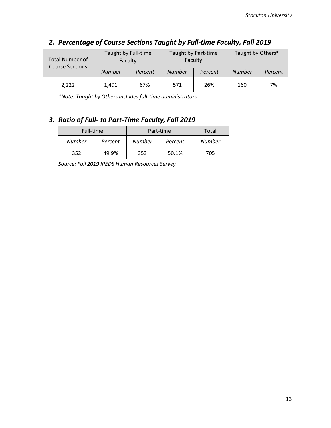| <b>Total Number of</b><br><b>Course Sections</b> | Taught by Full-time | Faculty |               | Taught by Part-time<br>Faculty | Taught by Others* |         |  |
|--------------------------------------------------|---------------------|---------|---------------|--------------------------------|-------------------|---------|--|
|                                                  | <b>Number</b>       | Percent | <b>Number</b> | Percent                        | <b>Number</b>     | Percent |  |
| 2,222                                            | 1.491               | 67%     | 571           | 26%                            | 160               | 7%      |  |

# <span id="page-13-0"></span>*2. Percentage of Course Sections Taught by Full-time Faculty, Fall 2019*

*\*Note: Taught by Others includes full-time administrators*

# <span id="page-13-1"></span>*3. Ratio of Full- to Part-Time Faculty, Fall 2019*

| Full-time     |         | Part-time     | Total   |               |
|---------------|---------|---------------|---------|---------------|
| <b>Number</b> | Percent | <b>Number</b> | Percent | <b>Number</b> |
| 352           | 49.9%   | 353           | 50.1%   | 705           |

*Source: Fall 2019 IPEDS Human Resources Survey*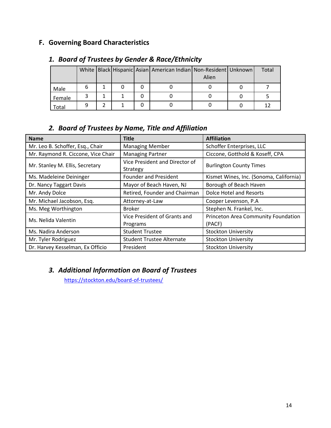# <span id="page-14-1"></span><span id="page-14-0"></span>**F. Governing Board Characteristics**

|        |   |  | White   Black   Hispanic   Asian   American Indian   Non-Resident   Unknown | Alien | Total |
|--------|---|--|-----------------------------------------------------------------------------|-------|-------|
| Male   | n |  |                                                                             |       |       |
| Female |   |  |                                                                             |       |       |
| Total  |   |  |                                                                             |       |       |

# *1. Board of Trustees by Gender & Race/Ethnicity*

# <span id="page-14-2"></span>*2. Board of Trustees by Name, Title and Affiliation*

| <b>Name</b>                        | <b>Title</b>                               | <b>Affiliation</b>                            |  |  |
|------------------------------------|--------------------------------------------|-----------------------------------------------|--|--|
| Mr. Leo B. Schoffer, Esq., Chair   | <b>Managing Member</b>                     | Schoffer Enterprises, LLC                     |  |  |
| Mr. Raymond R. Ciccone, Vice Chair | <b>Managing Partner</b>                    | Ciccone, Gotthold & Koseff, CPA               |  |  |
| Mr. Stanley M. Ellis, Secretary    | Vice President and Director of<br>Strategy | <b>Burlington County Times</b>                |  |  |
| Ms. Madeleine Deininger            | <b>Founder and President</b>               | Kismet Wines, Inc. (Sonoma, California)       |  |  |
| Dr. Nancy Taggart Davis            | Mayor of Beach Haven, NJ                   | Borough of Beach Haven                        |  |  |
| Mr. Andy Dolce                     | Retired, Founder and Chairman              | Dolce Hotel and Resorts                       |  |  |
| Mr. Michael Jacobson, Esq.         | Attorney-at-Law                            | Cooper Levenson, P.A.                         |  |  |
| Ms. Meg Worthington                | <b>Broker</b>                              | Stephen N. Frankel, Inc.                      |  |  |
| Ms. Nelida Valentin                | Vice President of Grants and<br>Programs   | Princeton Area Community Foundation<br>(PACF) |  |  |
| Ms. Nadira Anderson                | <b>Student Trustee</b>                     | <b>Stockton University</b>                    |  |  |
| Mr. Tyler Rodriguez                | <b>Student Trustee Alternate</b>           | <b>Stockton University</b>                    |  |  |
| Dr. Harvey Kesselman, Ex Officio   | President                                  | <b>Stockton University</b>                    |  |  |

# <span id="page-14-3"></span>*3. Additional Information on Board of Trustees*

<https://stockton.edu/board-of-trustees/>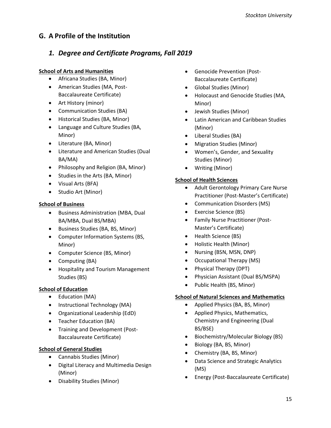# <span id="page-15-1"></span><span id="page-15-0"></span>**G. A Profile of the Institution**

# *1. Degree and Certificate Programs, Fall 2019*

#### **School of Arts and Humanities**

- Africana Studies (BA, Minor)
- American Studies (MA, Post-Baccalaureate Certificate)
- Art History (minor)
- Communication Studies (BA)
- Historical Studies (BA, Minor)
- Language and Culture Studies (BA, Minor)
- Literature (BA, Minor)
- Literature and American Studies (Dual BA/MA)
- Philosophy and Religion (BA, Minor)
- Studies in the Arts (BA, Minor)
- Visual Arts (BFA)
- Studio Art (Minor)

#### **School of Business**

- Business Administration (MBA, Dual BA/MBA, Dual BS/MBA)
- Business Studies (BA, BS, Minor)
- Computer Information Systems (BS, Minor)
- Computer Science (BS, Minor)
- Computing (BA)
- Hospitality and Tourism Management Studies (BS)

#### **School of Education**

- Education (MA)
- Instructional Technology (MA)
- Organizational Leadership (EdD)
- Teacher Education (BA)
- Training and Development (Post-Baccalaureate Certificate)

#### **School of General Studies**

- Cannabis Studies (Minor)
- Digital Literacy and Multimedia Design (Minor)
- Disability Studies (Minor)
- Genocide Prevention (Post-Baccalaureate Certificate)
- Global Studies (Minor)
- Holocaust and Genocide Studies (MA, Minor)
- Jewish Studies (Minor)
- Latin American and Caribbean Studies (Minor)
- Liberal Studies (BA)
- Migration Studies (Minor)
- Women's, Gender, and Sexuality Studies (Minor)
- Writing (Minor)

#### **School of Health Sciences**

- Adult Gerontology Primary Care Nurse Practitioner (Post-Master's Certificate)
- Communication Disorders (MS)
- Exercise Science (BS)
- Family Nurse Practitioner (Post-Master's Certificate)
- Health Science (BS)
- Holistic Health (Minor)
- Nursing (BSN, MSN, DNP)
- Occupational Therapy (MS)
- Physical Therapy (DPT)
- Physician Assistant (Dual BS/MSPA)
- Public Health (BS, Minor)

#### **School of Natural Sciences and Mathematics**

- Applied Physics (BA, BS, Minor)
- Applied Physics, Mathematics, Chemistry and Engineering (Dual BS/BSE)
- Biochemistry/Molecular Biology (BS)
- Biology (BA, BS, Minor)
- Chemistry (BA, BS, Minor)
- Data Science and Strategic Analytics (MS)
- Energy (Post-Baccalaureate Certificate)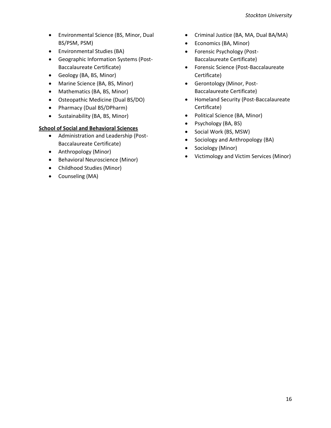- Environmental Science (BS, Minor, Dual BS/PSM, PSM)
- Environmental Studies (BA)
- Geographic Information Systems (Post-Baccalaureate Certificate)
- Geology (BA, BS, Minor)
- Marine Science (BA, BS, Minor)
- Mathematics (BA, BS, Minor)
- Osteopathic Medicine (Dual BS/DO)
- Pharmacy (Dual BS/DPharm)
- Sustainability (BA, BS, Minor)

#### **School of Social and Behavioral Sciences**

- Administration and Leadership (Post-Baccalaureate Certificate)
- Anthropology (Minor)
- Behavioral Neuroscience (Minor)
- Childhood Studies (Minor)
- Counseling (MA)
- Criminal Justice (BA, MA, Dual BA/MA)
- Economics (BA, Minor)
- Forensic Psychology (Post-Baccalaureate Certificate)
- Forensic Science (Post-Baccalaureate Certificate)
- Gerontology (Minor, Post-Baccalaureate Certificate)
- Homeland Security (Post-Baccalaureate Certificate)
- Political Science (BA, Minor)
- Psychology (BA, BS)
- Social Work (BS, MSW)
- Sociology and Anthropology (BA)
- Sociology (Minor)
- Victimology and Victim Services (Minor)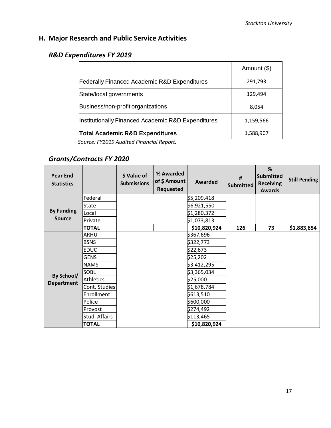# <span id="page-17-1"></span><span id="page-17-0"></span>**H. Major Research and Public Service Activities**

# *R&D Expenditures FY 2019*

|                                                         | Amount (\$) |
|---------------------------------------------------------|-------------|
| <b>Federally Financed Academic R&amp;D Expenditures</b> | 291,793     |
| State/local governments                                 | 129,494     |
| Business/non-profit organizations                       | 8,054       |
| Institutionally Financed Academic R&D Expenditures      | 1,159,566   |
| <b>Total Academic R&amp;D Expenditures</b>              | 1,588,907   |

*Source: FY2019 Audited Financial Report.*

# <span id="page-17-2"></span>*Grants/Contracts FY 2020*

| <b>Year End</b><br><b>Statistics</b> |                | \$ Value of<br><b>Submissions</b> | % Awarded<br>of \$ Amount<br><b>Requested</b> | <b>Awarded</b> | #<br><b>Submitted</b> | %<br><b>Submitted</b><br><b>Receiving</b><br><b>Awards</b> | <b>Still Pending</b> |
|--------------------------------------|----------------|-----------------------------------|-----------------------------------------------|----------------|-----------------------|------------------------------------------------------------|----------------------|
|                                      | Federal        |                                   |                                               | \$5,209,418    |                       |                                                            |                      |
|                                      | <b>State</b>   |                                   |                                               | \$6,921,550    |                       |                                                            |                      |
| <b>By Funding</b>                    | Local          |                                   |                                               | \$1,280,372    |                       |                                                            |                      |
| <b>Source</b>                        | Private        |                                   |                                               | \$1,073,813    |                       |                                                            |                      |
|                                      | <b>TOTAL</b>   |                                   |                                               | \$10,820,924   | 126                   | 73                                                         | \$1,883,654          |
|                                      | ARHU           |                                   |                                               | \$367,696      |                       |                                                            |                      |
|                                      | <b>BSNS</b>    |                                   |                                               | \$322,773      |                       |                                                            |                      |
|                                      | <b>EDUC</b>    |                                   |                                               | \$22,673       |                       |                                                            |                      |
|                                      | <b>GENS</b>    |                                   |                                               | \$25,202       |                       |                                                            |                      |
|                                      | <b>NAMS</b>    |                                   |                                               | \$3,412,295    |                       |                                                            |                      |
| By School/                           | <b>SOBL</b>    |                                   |                                               | \$3,365,034    |                       |                                                            |                      |
| <b>Department</b>                    | Athletics      |                                   |                                               | \$25,000       |                       |                                                            |                      |
|                                      | Cont. Studies  |                                   |                                               | \$1,678,784    |                       |                                                            |                      |
|                                      | Enrollment     |                                   |                                               | \$613,510      |                       |                                                            |                      |
|                                      | Police         |                                   |                                               | \$600,000      |                       |                                                            |                      |
|                                      | <b>Provost</b> |                                   |                                               | \$274,492      |                       |                                                            |                      |
|                                      | Stud. Affairs  |                                   |                                               | \$113,465      |                       |                                                            |                      |
|                                      | <b>TOTAL</b>   |                                   |                                               | \$10,820,924   |                       |                                                            |                      |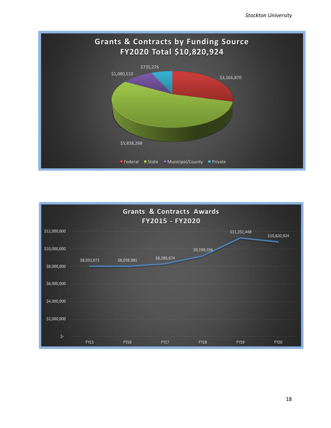

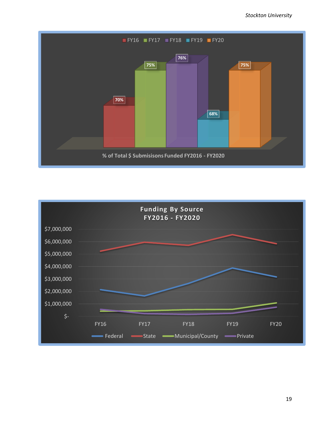

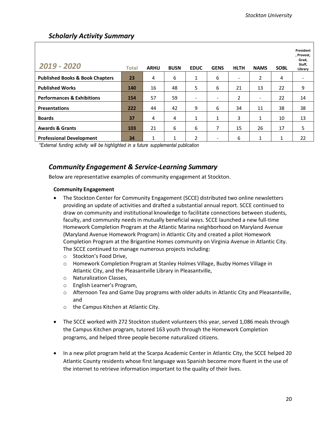<span id="page-20-0"></span>

| 2019 - 2020                                | <b>Total</b> | <b>ARHU</b> | <b>BUSN</b>  | <b>EDUC</b>                  | <b>GENS</b> | <b>HLTH</b>              | <b>NAMS</b>              | <b>SOBL</b> | President<br>, Provost,<br>Grad,<br>Staff,<br>Library |
|--------------------------------------------|--------------|-------------|--------------|------------------------------|-------------|--------------------------|--------------------------|-------------|-------------------------------------------------------|
| <b>Published Books &amp; Book Chapters</b> | 23           | 4           | 6            | $\mathbf{1}$                 | 6           | $\overline{\phantom{a}}$ | 2                        | 4           | $\overline{\phantom{a}}$                              |
| <b>Published Works</b>                     | 140          | 16          | 48           | 5                            | 6           | 21                       | 13                       | 22          | 9                                                     |
| <b>Performances &amp; Exhibitions</b>      | 154          | 57          | 59           | $\qquad \qquad \blacksquare$ | ٠           | 2                        | $\overline{\phantom{a}}$ | 22          | 14                                                    |
| <b>Presentations</b>                       | 222          | 44          | 42           | 9                            | 6           | 34                       | 11                       | 38          | 38                                                    |
| <b>Boards</b>                              | 37           | 4           | 4            | 1                            | 1           | 3                        | 1                        | 10          | 13                                                    |
| <b>Awards &amp; Grants</b>                 | 103          | 21          | 6            | 6                            | 7           | 15                       | 26                       | 17          | 5                                                     |
| <b>Professional Development</b>            | 34           | 1           | $\mathbf{1}$ | 2                            |             | 6                        | 1                        | 1           | 22                                                    |

# *Scholarly Activity Summary*

*\*External funding activity will be highlighted in a future supplemental publication*

# <span id="page-20-1"></span>*Community Engagement & Service-Learning Summary*

<span id="page-20-2"></span>Below are representative examples of community engagement at Stockton.

#### **Community Engagement**

- The Stockton Center for Community Engagement (SCCE) distributed two online newsletters providing an update of activities and drafted a substantial annual report. SCCE continued to draw on community and institutional knowledge to facilitate connections between students, faculty, and community needs in mutually beneficial ways. SCCE launched a new full-time Homework Completion Program at the Atlantic Marina neighborhood on Maryland Avenue (Maryland Avenue Homework Program) in Atlantic City and created a pilot Homework Completion Program at the Brigantine Homes community on Virginia Avenue in Atlantic City. The SCCE continued to manage numerous projects including:
	- o Stockton's Food Drive,
	- o Homework Completion Program at Stanley Holmes Village, Buzby Homes Village in Atlantic City, and the Pleasantville Library in Pleasantville,
	- o Naturalization Classes,
	- o English Learner's Program,
	- $\circ$  Afternoon Tea and Game Day programs with older adults in Atlantic City and Pleasantville, and
	- o the Campus Kitchen at Atlantic City.
- The SCCE worked with 272 Stockton student volunteers this year, served 1,086 meals through the Campus Kitchen program, tutored 163 youth through the Homework Completion programs, and helped three people become naturalized citizens.
- In a new pilot program held at the Scarpa Academic Center in Atlantic City, the SCCE helped 20 Atlantic County residents whose first language was Spanish become more fluent in the use of the internet to retrieve information important to the quality of their lives.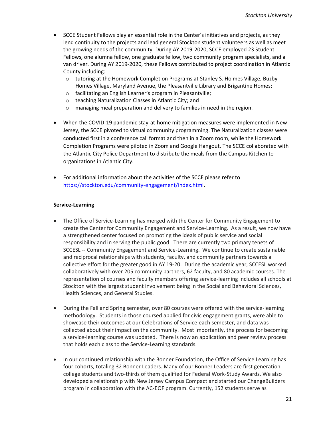- SCCE Student Fellows play an essential role in the Center's initiatives and projects, as they lend continuity to the projects and lead general Stockton student volunteers as well as meet the growing needs of the community. During AY 2019-2020, SCCE employed 23 Student Fellows, one alumna fellow, one graduate fellow, two community program specialists, and a van driver. During AY 2019-2020, these Fellows contributed to project coordination in Atlantic County including:
	- o tutoring at the Homework Completion Programs at Stanley S. Holmes Village, Buzby Homes Village, Maryland Avenue, the Pleasantville Library and Brigantine Homes;
	- o facilitating an English Learner's program in Pleasantville;
	- o teaching Naturalization Classes in Atlantic City; and
	- o managing meal preparation and delivery to families in need in the region.
- When the COVID-19 pandemic stay-at-home mitigation measures were implemented in New Jersey, the SCCE pivoted to virtual community programming. The Naturalization classes were conducted first in a conference call format and then in a Zoom room, while the Homework Completion Programs were piloted in Zoom and Google Hangout. The SCCE collaborated with the Atlantic City Police Department to distribute the meals from the Campus Kitchen to organizations in Atlantic City.
- For additional information about the activities of the SCCE please refer to [https://stockton.edu/community-engagement/index.html.](https://stockton.edu/community-engagement/index.html)

#### <span id="page-21-0"></span>**Service-Learning**

- The Office of Service-Learning has merged with the Center for Community Engagement to create the Center for Community Engagement and Service-Learning. As a result, we now have a strengthened center focused on promoting the ideals of public service and social responsibility and in serving the public good. There are currently two primary tenets of SCCESL -- Community Engagement and Service-Learning. We continue to create sustainable and reciprocal relationships with students, faculty, and community partners towards a collective effort for the greater good in AY 19-20. During the academic year, SCCESL worked collaboratively with over 205 community partners, 62 faculty, and 80 academic courses. The representation of courses and faculty members offering service-learning includes all schools at Stockton with the largest student involvement being in the Social and Behavioral Sciences, Health Sciences, and General Studies.
- During the Fall and Spring semester, over 80 courses were offered with the service-learning methodology. Students in those coursed applied for civic engagement grants, were able to showcase their outcomes at our Celebrations of Service each semester, and data was collected about their impact on the community. Most importantly, the process for becoming a service-learning course was updated. There is now an application and peer review process that holds each class to the Service-Learning standards.
- In our continued relationship with the Bonner Foundation, the Office of Service Learning has four cohorts, totaling 32 Bonner Leaders. Many of our Bonner Leaders are first generation college students and two-thirds of them qualified for Federal Work-Study Awards. We also developed a relationship with New Jersey Campus Compact and started our ChangeBuilders program in collaboration with the AC-EOF program. Currently, 152 students serve as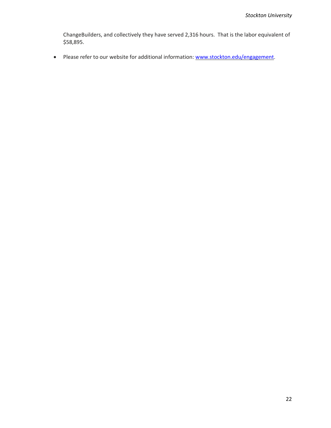ChangeBuilders, and collectively they have served 2,316 hours. That is the labor equivalent of \$58,895.

• Please refer to our website for additional information: [www.stockton.edu/engagement](http://www.stockton.edu/engagement).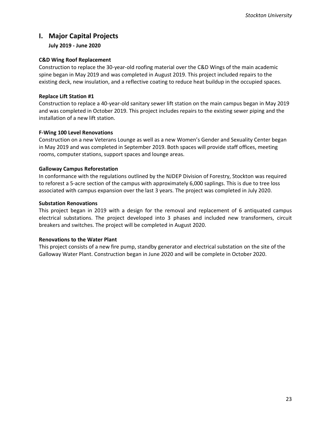# <span id="page-23-0"></span>**I. Major Capital Projects**

#### **July 2019 - June 2020**

#### **C&D Wing Roof Replacement**

Construction to replace the 30-year-old roofing material over the C&D Wings of the main academic spine began in May 2019 and was completed in August 2019. This project included repairs to the existing deck, new insulation, and a reflective coating to reduce heat buildup in the occupied spaces.

#### **Replace Lift Station #1**

Construction to replace a 40-year-old sanitary sewer lift station on the main campus began in May 2019 and was completed in October 2019. This project includes repairs to the existing sewer piping and the installation of a new lift station.

#### **F-Wing 100 Level Renovations**

Construction on a new Veterans Lounge as well as a new Women's Gender and Sexuality Center began in May 2019 and was completed in September 2019. Both spaces will provide staff offices, meeting rooms, computer stations, support spaces and lounge areas.

#### **Galloway Campus Reforestation**

In conformance with the regulations outlined by the NJDEP Division of Forestry, Stockton was required to reforest a 5-acre section of the campus with approximately 6,000 saplings. This is due to tree loss associated with campus expansion over the last 3 years. The project was completed in July 2020.

#### **Substation Renovations**

This project began in 2019 with a design for the removal and replacement of 6 antiquated campus electrical substations. The project developed into 3 phases and included new transformers, circuit breakers and switches. The project will be completed in August 2020.

#### **Renovations to the Water Plant**

This project consists of a new fire pump, standby generator and electrical substation on the site of the Galloway Water Plant. Construction began in June 2020 and will be complete in October 2020.